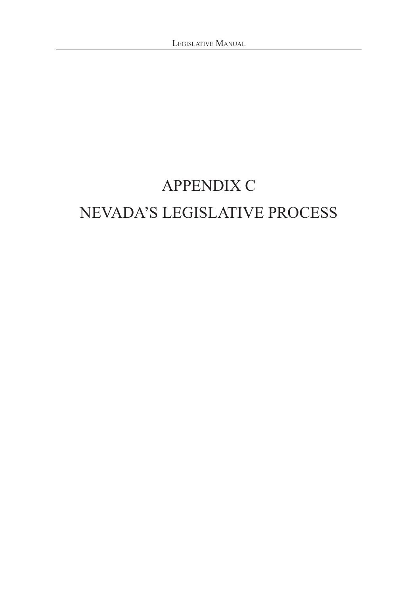## APPENDIX C NEVADA'S LEGISLATIVE PROCESS